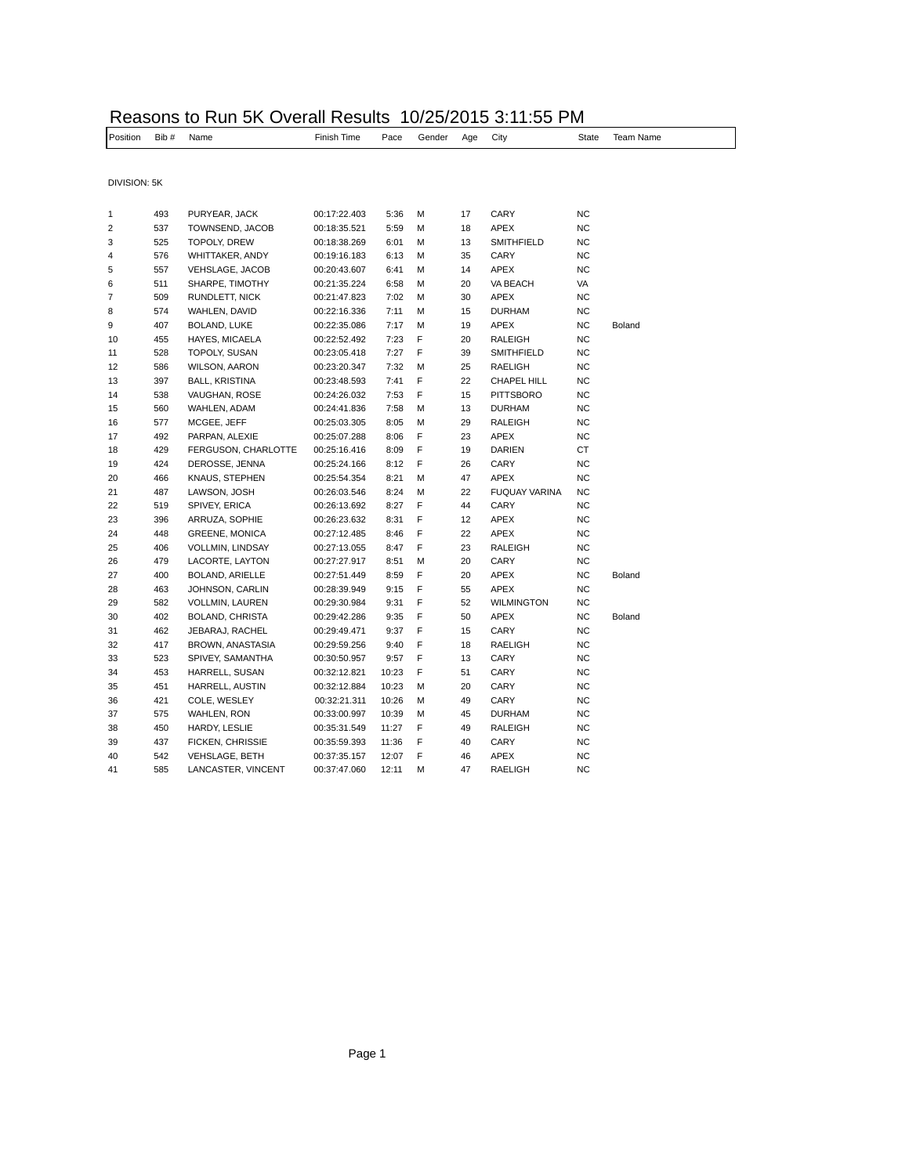## Reasons to Run 5K Overall Results 10/25/2015 3:11:55 PM

| Position     | Bib# | Name                    | Finish Time  | Pace  | Gender | Age | City                 | <b>State</b> | Team Name |
|--------------|------|-------------------------|--------------|-------|--------|-----|----------------------|--------------|-----------|
|              |      |                         |              |       |        |     |                      |              |           |
| DIVISION: 5K |      |                         |              |       |        |     |                      |              |           |
|              |      |                         |              |       |        |     |                      |              |           |
| 1            | 493  | PURYEAR, JACK           | 00:17:22.403 | 5:36  | М      | 17  | CARY                 | <b>NC</b>    |           |
| 2            | 537  | TOWNSEND, JACOB         | 00:18:35.521 | 5:59  | М      | 18  | APEX                 | <b>NC</b>    |           |
| 3            | 525  | TOPOLY, DREW            | 00:18:38.269 | 6:01  | М      | 13  | SMITHFIELD           | <b>NC</b>    |           |
| 4            | 576  | WHITTAKER, ANDY         | 00:19:16.183 | 6:13  | М      | 35  | CARY                 | <b>NC</b>    |           |
| 5            | 557  | VEHSLAGE, JACOB         | 00:20:43.607 | 6:41  | М      | 14  | APEX                 | <b>NC</b>    |           |
| 6            | 511  | SHARPE, TIMOTHY         | 00:21:35.224 | 6:58  | М      | 20  | VA BEACH             | VA           |           |
| 7            | 509  | RUNDLETT, NICK          | 00:21:47.823 | 7:02  | М      | 30  | APEX                 | <b>NC</b>    |           |
| 8            | 574  | WAHLEN, DAVID           | 00:22:16.336 | 7:11  | М      | 15  | <b>DURHAM</b>        | <b>NC</b>    |           |
| 9            | 407  | BOLAND, LUKE            | 00:22:35.086 | 7:17  | М      | 19  | APEX                 | <b>NC</b>    | Boland    |
| 10           | 455  | HAYES, MICAELA          | 00:22:52.492 | 7:23  | F      | 20  | RALEIGH              | <b>NC</b>    |           |
| 11           | 528  | TOPOLY, SUSAN           | 00:23:05.418 | 7:27  | F      | 39  | <b>SMITHFIELD</b>    | <b>NC</b>    |           |
| 12           | 586  | <b>WILSON, AARON</b>    | 00:23:20.347 | 7:32  | М      | 25  | RAELIGH              | <b>NC</b>    |           |
| 13           | 397  | <b>BALL, KRISTINA</b>   | 00:23:48.593 | 7:41  | F      | 22  | CHAPEL HILL          | <b>NC</b>    |           |
| 14           | 538  | VAUGHAN, ROSE           | 00:24:26.032 | 7:53  | F      | 15  | <b>PITTSBORO</b>     | <b>NC</b>    |           |
| 15           | 560  | WAHLEN, ADAM            | 00:24:41.836 | 7:58  | М      | 13  | <b>DURHAM</b>        | <b>NC</b>    |           |
| 16           | 577  | MCGEE, JEFF             | 00:25:03.305 | 8:05  | М      | 29  | RALEIGH              | <b>NC</b>    |           |
| 17           | 492  | PARPAN, ALEXIE          | 00:25:07.288 | 8:06  | F      | 23  | APEX                 | <b>NC</b>    |           |
| 18           | 429  | FERGUSON, CHARLOTTE     | 00:25:16.416 | 8:09  | F      | 19  | <b>DARIEN</b>        | <b>CT</b>    |           |
| 19           | 424  | DEROSSE, JENNA          | 00:25:24.166 | 8:12  | F      | 26  | CARY                 | <b>NC</b>    |           |
| 20           | 466  | KNAUS, STEPHEN          | 00:25:54.354 | 8:21  | М      | 47  | APEX                 | <b>NC</b>    |           |
| 21           | 487  | LAWSON, JOSH            | 00:26:03.546 | 8:24  | М      | 22  | <b>FUQUAY VARINA</b> | NC           |           |
| 22           | 519  | SPIVEY, ERICA           | 00:26:13.692 | 8:27  | F      | 44  | CARY                 | <b>NC</b>    |           |
| 23           | 396  | ARRUZA, SOPHIE          | 00:26:23.632 | 8:31  | F      | 12  | APEX                 | <b>NC</b>    |           |
| 24           | 448  | <b>GREENE, MONICA</b>   | 00:27:12.485 | 8:46  | F      | 22  | APEX                 | <b>NC</b>    |           |
| 25           | 406  | VOLLMIN, LINDSAY        | 00:27:13.055 | 8:47  | F      | 23  | <b>RALEIGH</b>       | NC           |           |
| 26           | 479  | LACORTE, LAYTON         | 00:27:27.917 | 8:51  | М      | 20  | CARY                 | <b>NC</b>    |           |
| 27           | 400  | BOLAND, ARIELLE         | 00:27:51.449 | 8:59  | F      | 20  | APEX                 | <b>NC</b>    | Boland    |
| 28           | 463  | JOHNSON, CARLIN         | 00:28:39.949 | 9:15  | F      | 55  | APEX                 | <b>NC</b>    |           |
| 29           | 582  | VOLLMIN, LAUREN         | 00:29:30.984 | 9:31  | F      | 52  | <b>WILMINGTON</b>    | <b>NC</b>    |           |
| 30           | 402  | BOLAND, CHRISTA         | 00:29:42.286 | 9:35  | F      | 50  | APEX                 | <b>NC</b>    | Boland    |
| 31           | 462  | JEBARAJ, RACHEL         | 00:29:49.471 | 9:37  | F      | 15  | CARY                 | <b>NC</b>    |           |
| 32           | 417  | BROWN, ANASTASIA        | 00:29:59.256 | 9:40  | F      | 18  | RAELIGH              | <b>NC</b>    |           |
| 33           | 523  | SPIVEY, SAMANTHA        | 00:30:50.957 | 9:57  | F      | 13  | CARY                 | <b>NC</b>    |           |
| 34           | 453  | HARRELL, SUSAN          | 00:32:12.821 | 10:23 | F      | 51  | CARY                 | <b>NC</b>    |           |
| 35           | 451  | HARRELL, AUSTIN         | 00:32:12.884 | 10:23 | М      | 20  | CARY                 | <b>NC</b>    |           |
| 36           | 421  | COLE, WESLEY            | 00:32:21.311 | 10:26 | М      | 49  | CARY                 | <b>NC</b>    |           |
| 37           | 575  | WAHLEN, RON             | 00:33:00.997 | 10:39 | М      | 45  | <b>DURHAM</b>        | NC           |           |
| 38           | 450  | HARDY, LESLIE           | 00:35:31.549 | 11:27 | F      | 49  | RALEIGH              | <b>NC</b>    |           |
| 39           | 437  | <b>FICKEN, CHRISSIE</b> | 00:35:59.393 | 11:36 | F      | 40  | CARY                 | <b>NC</b>    |           |
| 40           | 542  | <b>VEHSLAGE, BETH</b>   | 00:37:35.157 | 12:07 | F      | 46  | APEX                 | <b>NC</b>    |           |
| 41           | 585  | LANCASTER, VINCENT      | 00:37:47.060 | 12:11 | M      | 47  | <b>RAELIGH</b>       | <b>NC</b>    |           |